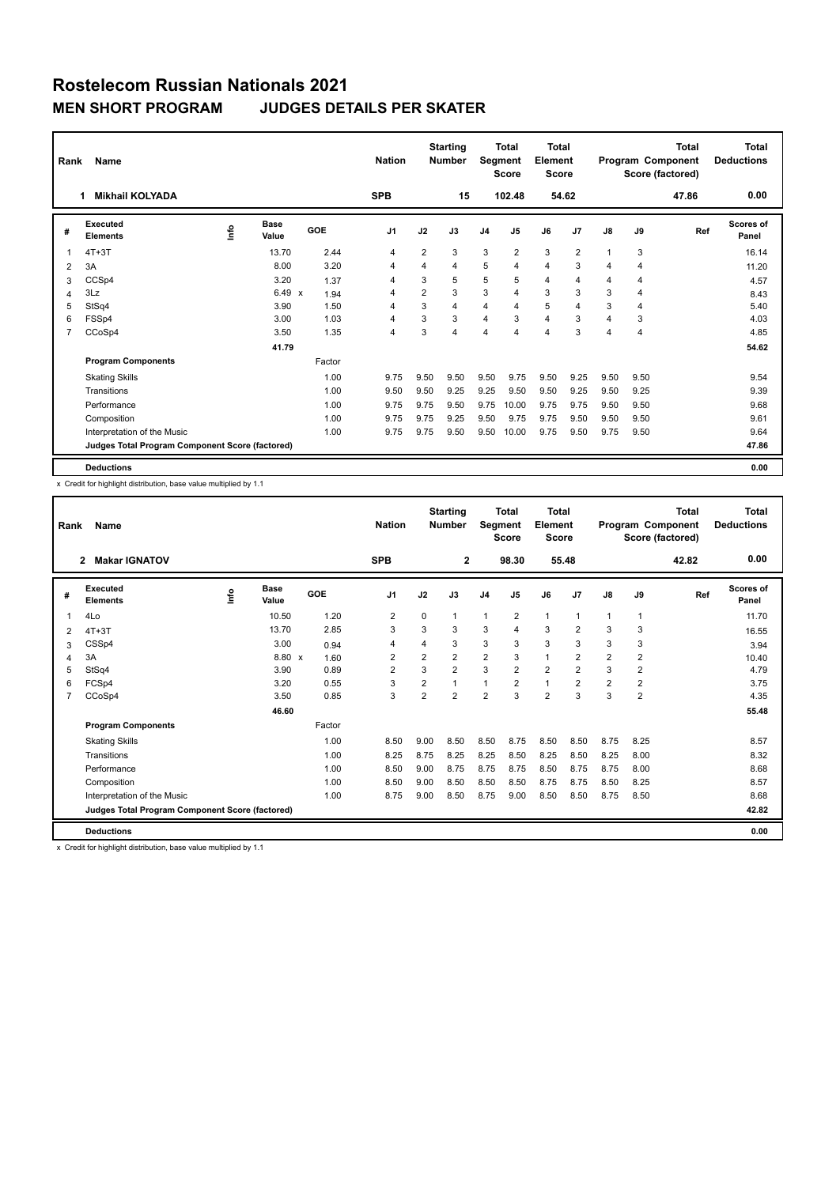| Rank           | Name                                            | <b>Nation</b> |                      | <b>Starting</b><br><b>Number</b> |                | Total<br>Segment<br><b>Score</b> | <b>Total</b><br>Element<br><b>Score</b> |                |                |                | <b>Total</b><br>Program Component<br>Score (factored) | <b>Total</b><br><b>Deductions</b> |      |       |                    |
|----------------|-------------------------------------------------|---------------|----------------------|----------------------------------|----------------|----------------------------------|-----------------------------------------|----------------|----------------|----------------|-------------------------------------------------------|-----------------------------------|------|-------|--------------------|
|                | <b>Mikhail KOLYADA</b>                          |               |                      |                                  | <b>SPB</b>     |                                  | 15                                      |                | 102.48         |                | 54.62                                                 |                                   |      | 47.86 | 0.00               |
| #              | Executed<br><b>Elements</b>                     | ۴٥            | <b>Base</b><br>Value | GOE                              | J <sub>1</sub> | J2                               | J3                                      | J <sub>4</sub> | J <sub>5</sub> | J6             | J7                                                    | $\mathsf{J}8$                     | J9   | Ref   | Scores of<br>Panel |
| 1              | $4T+3T$                                         |               | 13.70                | 2.44                             | 4              | $\overline{2}$                   | 3                                       | 3              | $\overline{2}$ | 3              | $\overline{2}$                                        |                                   | 3    |       | 16.14              |
| 2              | 3A                                              |               | 8.00                 | 3.20                             | 4              | 4                                | 4                                       | 5              | $\overline{4}$ | $\overline{4}$ | 3                                                     | $\overline{4}$                    | 4    |       | 11.20              |
| 3              | CCSp4                                           |               | 3.20                 | 1.37                             | $\overline{4}$ | 3                                | 5                                       | 5              | 5              | $\overline{4}$ | $\overline{4}$                                        | 4                                 | 4    |       | 4.57               |
| 4              | 3Lz                                             |               | $6.49 \times$        | 1.94                             | 4              | $\overline{2}$                   | 3                                       | 3              | $\overline{4}$ | 3              | 3                                                     | 3                                 | 4    |       | 8.43               |
| 5              | StSq4                                           |               | 3.90                 | 1.50                             | 4              | 3                                | 4                                       | 4              | $\overline{4}$ | 5              | 4                                                     | 3                                 | 4    |       | 5.40               |
| 6              | FSSp4                                           |               | 3.00                 | 1.03                             | 4              | 3                                | 3                                       | 4              | 3              | $\overline{4}$ | 3                                                     | 4                                 | 3    |       | 4.03               |
| $\overline{7}$ | CCoSp4                                          |               | 3.50                 | 1.35                             | 4              | 3                                | 4                                       | 4              | $\overline{4}$ | 4              | 3                                                     | 4                                 | 4    |       | 4.85               |
|                |                                                 |               | 41.79                |                                  |                |                                  |                                         |                |                |                |                                                       |                                   |      |       | 54.62              |
|                | <b>Program Components</b>                       |               |                      | Factor                           |                |                                  |                                         |                |                |                |                                                       |                                   |      |       |                    |
|                | <b>Skating Skills</b>                           |               |                      | 1.00                             | 9.75           | 9.50                             | 9.50                                    | 9.50           | 9.75           | 9.50           | 9.25                                                  | 9.50                              | 9.50 |       | 9.54               |
|                | Transitions                                     |               |                      | 1.00                             | 9.50           | 9.50                             | 9.25                                    | 9.25           | 9.50           | 9.50           | 9.25                                                  | 9.50                              | 9.25 |       | 9.39               |
|                | Performance                                     |               |                      | 1.00                             | 9.75           | 9.75                             | 9.50                                    | 9.75           | 10.00          | 9.75           | 9.75                                                  | 9.50                              | 9.50 |       | 9.68               |
|                | Composition                                     |               |                      | 1.00                             | 9.75           | 9.75                             | 9.25                                    | 9.50           | 9.75           | 9.75           | 9.50                                                  | 9.50                              | 9.50 |       | 9.61               |
|                | Interpretation of the Music                     |               |                      | 1.00                             | 9.75           | 9.75                             | 9.50                                    | 9.50           | 10.00          | 9.75           | 9.50                                                  | 9.75                              | 9.50 |       | 9.64               |
|                | Judges Total Program Component Score (factored) |               |                      |                                  |                |                                  |                                         |                |                |                |                                                       |                                   |      |       | 47.86              |
|                | <b>Deductions</b>                               |               |                      |                                  |                |                                  |                                         |                |                |                |                                                       |                                   |      |       | 0.00               |

x Credit for highlight distribution, base value multiplied by 1.1

| Rank | Name                                            |      |               |        | <b>Nation</b>  |                | <b>Starting</b><br><b>Number</b> | Segment        | <b>Total</b><br><b>Score</b> | <b>Total</b><br>Element<br><b>Score</b> |                |                |                | <b>Total</b><br>Program Component<br>Score (factored) | <b>Total</b><br><b>Deductions</b> |
|------|-------------------------------------------------|------|---------------|--------|----------------|----------------|----------------------------------|----------------|------------------------------|-----------------------------------------|----------------|----------------|----------------|-------------------------------------------------------|-----------------------------------|
|      | <b>Makar IGNATOV</b><br>$\mathbf{2}$            |      |               |        | <b>SPB</b>     |                | $\mathbf{2}$                     |                | 98.30                        |                                         | 55.48          |                |                | 42.82                                                 | 0.00                              |
| #    | Executed<br><b>Elements</b>                     | lnfo | Base<br>Value | GOE    | J <sub>1</sub> | J2             | J3                               | J <sub>4</sub> | J <sub>5</sub>               | J6                                      | J7             | J8             | J9             | Ref                                                   | Scores of<br>Panel                |
| 1    | 4Lo                                             |      | 10.50         | 1.20   | $\overline{2}$ | $\Omega$       | $\mathbf{1}$                     | $\mathbf{1}$   | $\overline{2}$               | $\mathbf{1}$                            | $\mathbf{1}$   | 1              | 1              |                                                       | 11.70                             |
| 2    | $4T+3T$                                         |      | 13.70         | 2.85   | 3              | 3              | 3                                | 3              | 4                            | 3                                       | $\overline{2}$ | 3              | 3              |                                                       | 16.55                             |
| 3    | CSSp4                                           |      | 3.00          | 0.94   | 4              | 4              | 3                                | 3              | 3                            | 3                                       | 3              | 3              | 3              |                                                       | 3.94                              |
| 4    | 3A                                              |      | 8.80 x        | 1.60   | $\overline{2}$ | $\overline{2}$ | $\overline{2}$                   | $\overline{2}$ | 3                            | $\overline{1}$                          | $\overline{2}$ | $\overline{2}$ | $\overline{2}$ |                                                       | 10.40                             |
| 5    | StSq4                                           |      | 3.90          | 0.89   | $\overline{2}$ | 3              | $\overline{2}$                   | 3              | $\overline{2}$               | $\overline{2}$                          | $\overline{2}$ | 3              | $\overline{2}$ |                                                       | 4.79                              |
| 6    | FCSp4                                           |      | 3.20          | 0.55   | 3              | $\overline{2}$ | 1                                | $\mathbf{1}$   | $\overline{2}$               | $\mathbf{1}$                            | $\overline{2}$ | $\overline{2}$ | $\overline{2}$ |                                                       | 3.75                              |
| 7    | CCoSp4                                          |      | 3.50          | 0.85   | 3              | $\overline{2}$ | $\overline{2}$                   | $\overline{2}$ | 3                            | $\overline{2}$                          | 3              | 3              | $\overline{2}$ |                                                       | 4.35                              |
|      |                                                 |      | 46.60         |        |                |                |                                  |                |                              |                                         |                |                |                |                                                       | 55.48                             |
|      | <b>Program Components</b>                       |      |               | Factor |                |                |                                  |                |                              |                                         |                |                |                |                                                       |                                   |
|      | <b>Skating Skills</b>                           |      |               | 1.00   | 8.50           | 9.00           | 8.50                             | 8.50           | 8.75                         | 8.50                                    | 8.50           | 8.75           | 8.25           |                                                       | 8.57                              |
|      | Transitions                                     |      |               | 1.00   | 8.25           | 8.75           | 8.25                             | 8.25           | 8.50                         | 8.25                                    | 8.50           | 8.25           | 8.00           |                                                       | 8.32                              |
|      | Performance                                     |      |               | 1.00   | 8.50           | 9.00           | 8.75                             | 8.75           | 8.75                         | 8.50                                    | 8.75           | 8.75           | 8.00           |                                                       | 8.68                              |
|      | Composition                                     |      |               | 1.00   | 8.50           | 9.00           | 8.50                             | 8.50           | 8.50                         | 8.75                                    | 8.75           | 8.50           | 8.25           |                                                       | 8.57                              |
|      | Interpretation of the Music                     |      |               | 1.00   | 8.75           | 9.00           | 8.50                             | 8.75           | 9.00                         | 8.50                                    | 8.50           | 8.75           | 8.50           |                                                       | 8.68                              |
|      | Judges Total Program Component Score (factored) |      |               |        |                |                |                                  |                |                              |                                         |                |                |                |                                                       | 42.82                             |
|      | <b>Deductions</b>                               |      |               |        |                |                |                                  |                |                              |                                         |                |                |                |                                                       | 0.00                              |

x Credit for highlight distribution, base value multiplied by 1.1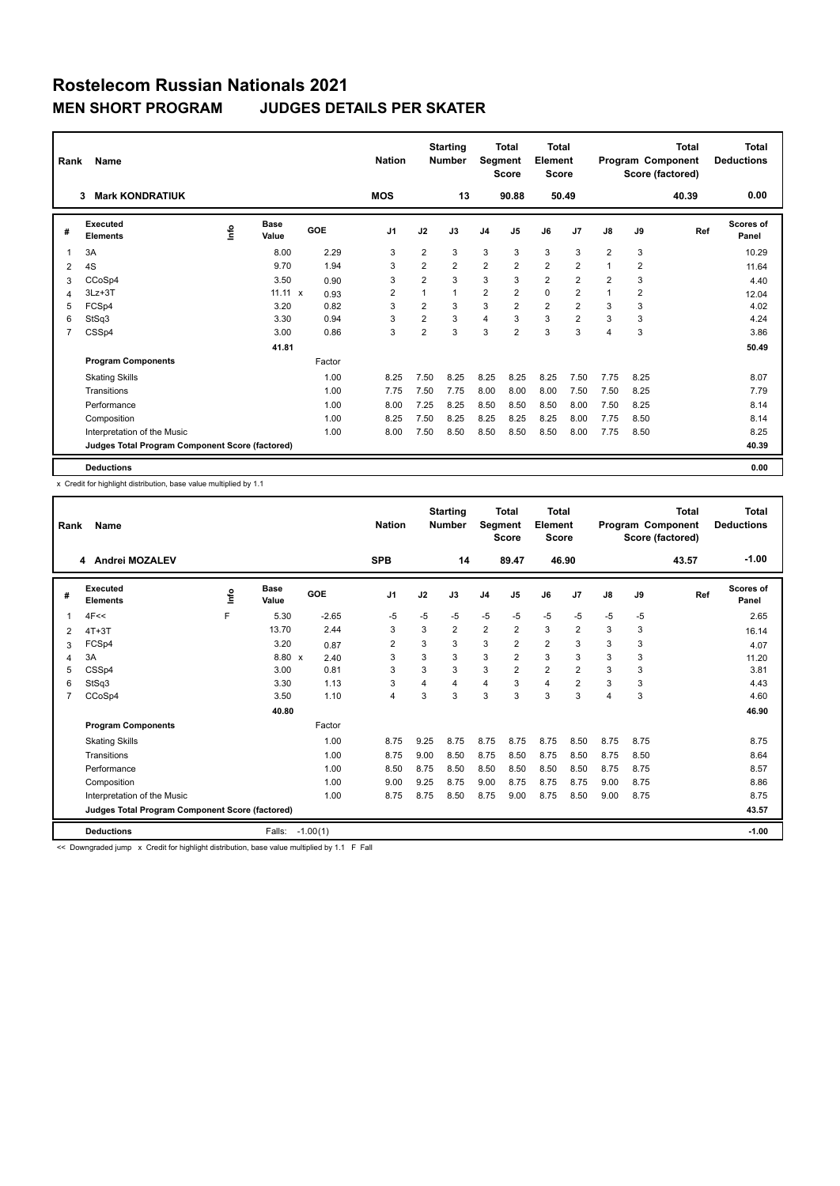| Rank           | Name                                            | <b>Nation</b> |                | <b>Starting</b><br><b>Number</b> | Segment        | <b>Total</b><br><b>Score</b> | <b>Total</b><br>Element<br><b>Score</b> |                |                |                | <b>Total</b><br>Program Component<br>Score (factored) | <b>Total</b><br><b>Deductions</b> |                |       |                    |
|----------------|-------------------------------------------------|---------------|----------------|----------------------------------|----------------|------------------------------|-----------------------------------------|----------------|----------------|----------------|-------------------------------------------------------|-----------------------------------|----------------|-------|--------------------|
|                | <b>Mark KONDRATIUK</b><br>3                     |               |                |                                  | <b>MOS</b>     |                              | 13                                      |                | 90.88          |                | 50.49                                                 |                                   |                | 40.39 | 0.00               |
| #              | Executed<br><b>Elements</b>                     | Info          | Base<br>Value  | GOE                              | J <sub>1</sub> | J2                           | J3                                      | J <sub>4</sub> | J5             | J6             | J7                                                    | $\mathsf{J}8$                     | J9             | Ref   | Scores of<br>Panel |
| 1              | 3A                                              |               | 8.00           | 2.29                             | 3              | $\overline{2}$               | 3                                       | 3              | 3              | 3              | 3                                                     | 2                                 | 3              |       | 10.29              |
| 2              | 4S                                              |               | 9.70           | 1.94                             | 3              | $\overline{2}$               | $\overline{2}$                          | $\overline{2}$ | 2              | $\overline{2}$ | $\overline{2}$                                        | 1                                 | $\overline{2}$ |       | 11.64              |
| 3              | CCoSp4                                          |               | 3.50           | 0.90                             | 3              | $\overline{2}$               | 3                                       | 3              | 3              | $\overline{2}$ | $\overline{2}$                                        | $\overline{2}$                    | 3              |       | 4.40               |
| 4              | $3Lz + 3T$                                      |               | $11.11 \times$ | 0.93                             | $\overline{2}$ |                              | $\mathbf{1}$                            | $\overline{2}$ | $\overline{2}$ | $\mathbf 0$    | $\overline{2}$                                        | $\overline{ }$                    | $\overline{2}$ |       | 12.04              |
| 5              | FCSp4                                           |               | 3.20           | 0.82                             | 3              | $\overline{2}$               | 3                                       | 3              | $\overline{2}$ | $\overline{2}$ | $\overline{2}$                                        | 3                                 | 3              |       | 4.02               |
| 6              | StSq3                                           |               | 3.30           | 0.94                             | 3              | $\overline{2}$               | 3                                       | $\overline{4}$ | 3              | 3              | $\overline{2}$                                        | 3                                 | 3              |       | 4.24               |
| $\overline{7}$ | CSSp4                                           |               | 3.00           | 0.86                             | 3              | $\overline{2}$               | 3                                       | 3              | $\overline{2}$ | 3              | 3                                                     | 4                                 | 3              |       | 3.86               |
|                |                                                 |               | 41.81          |                                  |                |                              |                                         |                |                |                |                                                       |                                   |                |       | 50.49              |
|                | <b>Program Components</b>                       |               |                | Factor                           |                |                              |                                         |                |                |                |                                                       |                                   |                |       |                    |
|                | <b>Skating Skills</b>                           |               |                | 1.00                             | 8.25           | 7.50                         | 8.25                                    | 8.25           | 8.25           | 8.25           | 7.50                                                  | 7.75                              | 8.25           |       | 8.07               |
|                | Transitions                                     |               |                | 1.00                             | 7.75           | 7.50                         | 7.75                                    | 8.00           | 8.00           | 8.00           | 7.50                                                  | 7.50                              | 8.25           |       | 7.79               |
|                | Performance                                     |               |                | 1.00                             | 8.00           | 7.25                         | 8.25                                    | 8.50           | 8.50           | 8.50           | 8.00                                                  | 7.50                              | 8.25           |       | 8.14               |
|                | Composition                                     |               |                | 1.00                             | 8.25           | 7.50                         | 8.25                                    | 8.25           | 8.25           | 8.25           | 8.00                                                  | 7.75                              | 8.50           |       | 8.14               |
|                | Interpretation of the Music                     |               |                | 1.00                             | 8.00           | 7.50                         | 8.50                                    | 8.50           | 8.50           | 8.50           | 8.00                                                  | 7.75                              | 8.50           |       | 8.25               |
|                | Judges Total Program Component Score (factored) |               |                |                                  |                |                              |                                         |                |                |                |                                                       |                                   |                |       | 40.39              |
|                | <b>Deductions</b>                               |               |                |                                  |                |                              |                                         |                |                |                |                                                       |                                   |                |       | 0.00               |

x Credit for highlight distribution, base value multiplied by 1.1

| Rank | Name                                            |      |                      |            | <b>Nation</b>  |      | <b>Starting</b><br><b>Number</b> | Segment        | <b>Total</b><br><b>Score</b> | <b>Total</b><br>Element<br><b>Score</b> |                |               |      | <b>Total</b><br>Program Component<br>Score (factored) | <b>Total</b><br><b>Deductions</b> |
|------|-------------------------------------------------|------|----------------------|------------|----------------|------|----------------------------------|----------------|------------------------------|-----------------------------------------|----------------|---------------|------|-------------------------------------------------------|-----------------------------------|
|      | 4 Andrei MOZALEV                                |      |                      |            | <b>SPB</b>     |      | 14                               |                | 89.47                        | 46.90                                   |                |               |      | 43.57                                                 | $-1.00$                           |
| #    | Executed<br><b>Elements</b>                     | lnfo | <b>Base</b><br>Value | GOE        | J <sub>1</sub> | J2   | J3                               | J <sub>4</sub> | J5                           | J6                                      | J7             | $\mathsf{J}8$ | J9   | Ref                                                   | <b>Scores of</b><br>Panel         |
| 1    | 4F<<                                            | F    | 5.30                 | $-2.65$    | -5             | $-5$ | $-5$                             | $-5$           | $-5$                         | $-5$                                    | $-5$           | $-5$          | $-5$ |                                                       | 2.65                              |
| 2    | $4T+3T$                                         |      | 13.70                | 2.44       | 3              | 3    | $\overline{2}$                   | $\overline{2}$ | $\overline{2}$               | 3                                       | $\overline{2}$ | 3             | 3    |                                                       | 16.14                             |
| 3    | FCSp4                                           |      | 3.20                 | 0.87       | $\overline{2}$ | 3    | 3                                | 3              | 2                            | $\overline{2}$                          | 3              | 3             | 3    |                                                       | 4.07                              |
| 4    | 3A                                              |      | 8.80 x               | 2.40       | 3              | 3    | 3                                | 3              | $\overline{2}$               | 3                                       | 3              | 3             | 3    |                                                       | 11.20                             |
| 5    | CSSp4                                           |      | 3.00                 | 0.81       | 3              | 3    | 3                                | 3              | $\overline{2}$               | $\overline{2}$                          | $\overline{2}$ | 3             | 3    |                                                       | 3.81                              |
| 6    | StSq3                                           |      | 3.30                 | 1.13       | 3              | 4    | 4                                | $\overline{4}$ | 3                            | 4                                       | $\overline{2}$ | 3             | 3    |                                                       | 4.43                              |
| 7    | CCoSp4                                          |      | 3.50                 | 1.10       | $\overline{4}$ | 3    | 3                                | 3              | 3                            | 3                                       | 3              | 4             | 3    |                                                       | 4.60                              |
|      |                                                 |      | 40.80                |            |                |      |                                  |                |                              |                                         |                |               |      |                                                       | 46.90                             |
|      | <b>Program Components</b>                       |      |                      | Factor     |                |      |                                  |                |                              |                                         |                |               |      |                                                       |                                   |
|      | <b>Skating Skills</b>                           |      |                      | 1.00       | 8.75           | 9.25 | 8.75                             | 8.75           | 8.75                         | 8.75                                    | 8.50           | 8.75          | 8.75 |                                                       | 8.75                              |
|      | Transitions                                     |      |                      | 1.00       | 8.75           | 9.00 | 8.50                             | 8.75           | 8.50                         | 8.75                                    | 8.50           | 8.75          | 8.50 |                                                       | 8.64                              |
|      | Performance                                     |      |                      | 1.00       | 8.50           | 8.75 | 8.50                             | 8.50           | 8.50                         | 8.50                                    | 8.50           | 8.75          | 8.75 |                                                       | 8.57                              |
|      | Composition                                     |      |                      | 1.00       | 9.00           | 9.25 | 8.75                             | 9.00           | 8.75                         | 8.75                                    | 8.75           | 9.00          | 8.75 |                                                       | 8.86                              |
|      | Interpretation of the Music                     |      |                      | 1.00       | 8.75           | 8.75 | 8.50                             | 8.75           | 9.00                         | 8.75                                    | 8.50           | 9.00          | 8.75 |                                                       | 8.75                              |
|      | Judges Total Program Component Score (factored) |      |                      |            |                |      |                                  |                |                              |                                         |                |               |      |                                                       | 43.57                             |
|      | <b>Deductions</b>                               |      | Falls:               | $-1.00(1)$ |                |      |                                  |                |                              |                                         |                |               |      |                                                       | $-1.00$                           |

<< Downgraded jump x Credit for highlight distribution, base value multiplied by 1.1 F Fall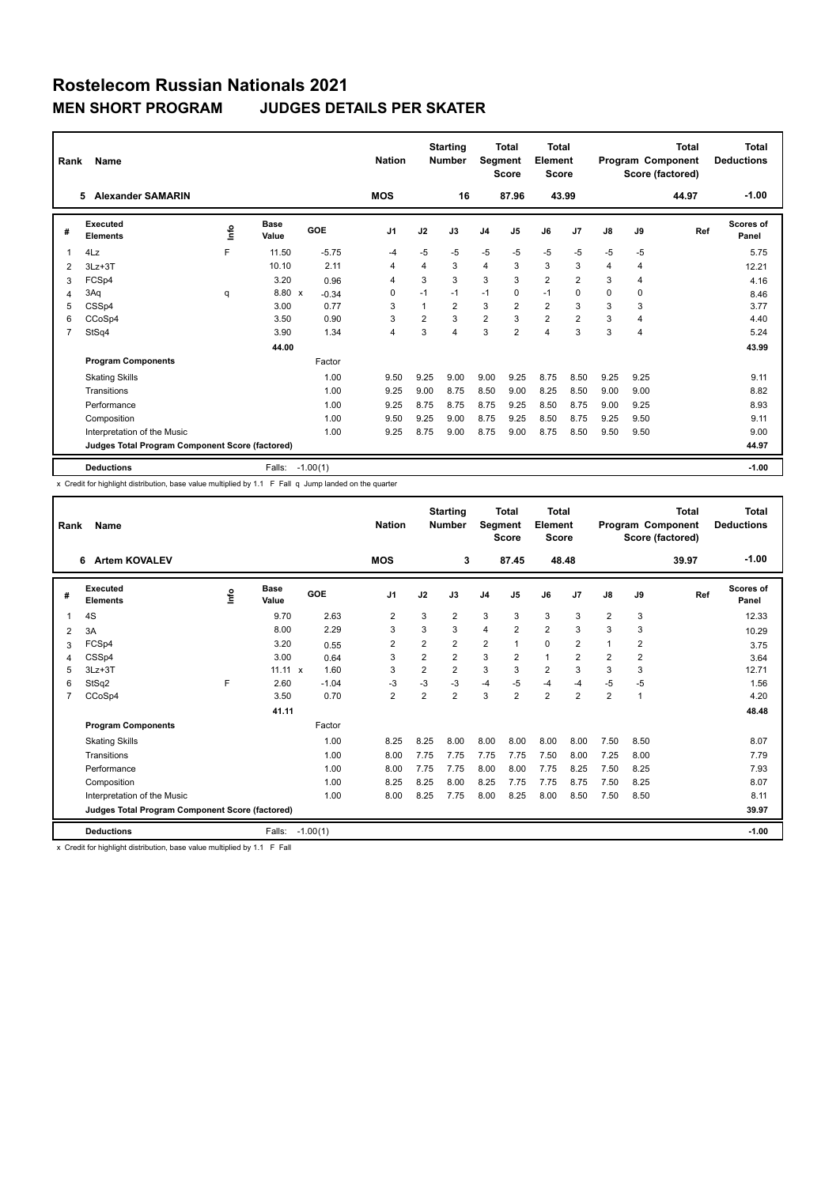| Rank           | Name                                            |    |                      |         | <b>Nation</b>  |                | <b>Starting</b><br><b>Number</b> | Segment        | <b>Total</b><br><b>Score</b> | <b>Total</b><br>Element<br><b>Score</b> |                |               |                | <b>Total</b><br>Program Component<br>Score (factored) | <b>Total</b><br><b>Deductions</b> |
|----------------|-------------------------------------------------|----|----------------------|---------|----------------|----------------|----------------------------------|----------------|------------------------------|-----------------------------------------|----------------|---------------|----------------|-------------------------------------------------------|-----------------------------------|
|                | <b>Alexander SAMARIN</b><br>5.                  |    |                      |         | <b>MOS</b>     |                | 16                               |                | 87.96                        |                                         | 43.99          |               |                | 44.97                                                 | $-1.00$                           |
| #              | Executed<br><b>Elements</b>                     | ۴o | <b>Base</b><br>Value | GOE     | J <sub>1</sub> | J2             | J3                               | J <sub>4</sub> | J5                           | J6                                      | J <sub>7</sub> | $\mathsf{J}8$ | J9             | Ref                                                   | Scores of<br>Panel                |
| 1              | 4Lz                                             | F  | 11.50                | $-5.75$ | -4             | $-5$           | $-5$                             | $-5$           | $-5$                         | $-5$                                    | $-5$           | $-5$          | -5             |                                                       | 5.75                              |
| 2              | $3Lz + 3T$                                      |    | 10.10                | 2.11    | 4              | 4              | 3                                | $\overline{4}$ | 3                            | 3                                       | 3              | 4             | 4              |                                                       | 12.21                             |
| 3              | FCSp4                                           |    | 3.20                 | 0.96    | 4              | 3              | 3                                | 3              | 3                            | $\overline{2}$                          | $\overline{2}$ | 3             | 4              |                                                       | 4.16                              |
| 4              | 3Aq                                             | q  | 8.80 x               | $-0.34$ | 0              | $-1$           | $-1$                             | $-1$           | 0                            | $-1$                                    | 0              | $\Omega$      | 0              |                                                       | 8.46                              |
| 5              | CSSp4                                           |    | 3.00                 | 0.77    | 3              |                | $\overline{2}$                   | 3              | $\overline{2}$               | $\overline{2}$                          | 3              | 3             | 3              |                                                       | 3.77                              |
| 6              | CCoSp4                                          |    | 3.50                 | 0.90    | 3              | $\overline{2}$ | 3                                | $\overline{2}$ | 3                            | $\overline{2}$                          | $\overline{2}$ | 3             | $\overline{4}$ |                                                       | 4.40                              |
| $\overline{7}$ | StSq4                                           |    | 3.90                 | 1.34    | 4              | 3              | $\overline{4}$                   | 3              | $\overline{2}$               | $\overline{4}$                          | 3              | 3             | $\overline{4}$ |                                                       | 5.24                              |
|                |                                                 |    | 44.00                |         |                |                |                                  |                |                              |                                         |                |               |                |                                                       | 43.99                             |
|                | <b>Program Components</b>                       |    |                      | Factor  |                |                |                                  |                |                              |                                         |                |               |                |                                                       |                                   |
|                | <b>Skating Skills</b>                           |    |                      | 1.00    | 9.50           | 9.25           | 9.00                             | 9.00           | 9.25                         | 8.75                                    | 8.50           | 9.25          | 9.25           |                                                       | 9.11                              |
|                | Transitions                                     |    |                      | 1.00    | 9.25           | 9.00           | 8.75                             | 8.50           | 9.00                         | 8.25                                    | 8.50           | 9.00          | 9.00           |                                                       | 8.82                              |
|                | Performance                                     |    |                      | 1.00    | 9.25           | 8.75           | 8.75                             | 8.75           | 9.25                         | 8.50                                    | 8.75           | 9.00          | 9.25           |                                                       | 8.93                              |
|                | Composition                                     |    |                      | 1.00    | 9.50           | 9.25           | 9.00                             | 8.75           | 9.25                         | 8.50                                    | 8.75           | 9.25          | 9.50           |                                                       | 9.11                              |
|                | Interpretation of the Music                     |    |                      | 1.00    | 9.25           | 8.75           | 9.00                             | 8.75           | 9.00                         | 8.75                                    | 8.50           | 9.50          | 9.50           |                                                       | 9.00                              |
|                | Judges Total Program Component Score (factored) |    |                      |         |                |                |                                  |                |                              |                                         |                |               |                |                                                       | 44.97                             |
|                | <b>Deductions</b>                               |    | Falls: -1.00(1)      |         |                |                |                                  |                |                              |                                         |                |               |                |                                                       | $-1.00$                           |

x Credit for highlight distribution, base value multiplied by 1.1 F Fall q Jump landed on the quarter

| Rank           | Name                                            |      |                      |            | <b>Nation</b>  |                | <b>Starting</b><br><b>Number</b> | Segment        | <b>Total</b><br><b>Score</b> | <b>Total</b><br>Element<br><b>Score</b> |                |                |                | Total<br>Program Component<br>Score (factored) | <b>Total</b><br><b>Deductions</b> |
|----------------|-------------------------------------------------|------|----------------------|------------|----------------|----------------|----------------------------------|----------------|------------------------------|-----------------------------------------|----------------|----------------|----------------|------------------------------------------------|-----------------------------------|
|                | <b>Artem KOVALEV</b><br>6                       |      |                      |            | <b>MOS</b>     |                | 3                                |                | 87.45                        | 48.48                                   |                |                |                | 39.97                                          | $-1.00$                           |
| #              | Executed<br><b>Elements</b>                     | lnfo | <b>Base</b><br>Value | GOE        | J <sub>1</sub> | J2             | J3                               | J <sub>4</sub> | J5                           | J6                                      | J7             | $\mathsf{J}8$  | J9             | Ref                                            | <b>Scores of</b><br>Panel         |
|                | 4S                                              |      | 9.70                 | 2.63       | $\overline{2}$ | 3              | $\overline{2}$                   | 3              | 3                            | 3                                       | 3              | $\overline{2}$ | 3              |                                                | 12.33                             |
| $\overline{2}$ | 3A                                              |      | 8.00                 | 2.29       | 3              | 3              | 3                                | $\overline{4}$ | $\overline{2}$               | $\overline{2}$                          | 3              | 3              | 3              |                                                | 10.29                             |
| 3              | FCSp4                                           |      | 3.20                 | 0.55       | $\overline{2}$ | $\overline{2}$ | $\overline{2}$                   | $\overline{2}$ | $\overline{1}$               | 0                                       | $\overline{2}$ | 1              | $\overline{2}$ |                                                | 3.75                              |
| 4              | CSSp4                                           |      | 3.00                 | 0.64       | 3              | $\overline{2}$ | $\overline{2}$                   | 3              | $\overline{2}$               | $\mathbf{1}$                            | $\overline{2}$ | 2              | $\overline{2}$ |                                                | 3.64                              |
| 5              | $3Lz + 3T$                                      |      | $11.11 \times$       | 1.60       | 3              | $\overline{2}$ | $\overline{2}$                   | 3              | 3                            | $\overline{2}$                          | 3              | 3              | 3              |                                                | 12.71                             |
| 6              | StSq2                                           | F    | 2.60                 | $-1.04$    | $-3$           | $-3$           | $-3$                             | $-4$           | $-5$                         | $-4$                                    | $-4$           | $-5$           | $-5$           |                                                | 1.56                              |
| $\overline{7}$ | CCoSp4                                          |      | 3.50                 | 0.70       | $\overline{2}$ | $\overline{2}$ | $\overline{2}$                   | 3              | $\overline{2}$               | $\overline{2}$                          | $\overline{2}$ | 2              | 1              |                                                | 4.20                              |
|                |                                                 |      | 41.11                |            |                |                |                                  |                |                              |                                         |                |                |                |                                                | 48.48                             |
|                | <b>Program Components</b>                       |      |                      | Factor     |                |                |                                  |                |                              |                                         |                |                |                |                                                |                                   |
|                | <b>Skating Skills</b>                           |      |                      | 1.00       | 8.25           | 8.25           | 8.00                             | 8.00           | 8.00                         | 8.00                                    | 8.00           | 7.50           | 8.50           |                                                | 8.07                              |
|                | Transitions                                     |      |                      | 1.00       | 8.00           | 7.75           | 7.75                             | 7.75           | 7.75                         | 7.50                                    | 8.00           | 7.25           | 8.00           |                                                | 7.79                              |
|                | Performance                                     |      |                      | 1.00       | 8.00           | 7.75           | 7.75                             | 8.00           | 8.00                         | 7.75                                    | 8.25           | 7.50           | 8.25           |                                                | 7.93                              |
|                | Composition                                     |      |                      | 1.00       | 8.25           | 8.25           | 8.00                             | 8.25           | 7.75                         | 7.75                                    | 8.75           | 7.50           | 8.25           |                                                | 8.07                              |
|                | Interpretation of the Music                     |      |                      | 1.00       | 8.00           | 8.25           | 7.75                             | 8.00           | 8.25                         | 8.00                                    | 8.50           | 7.50           | 8.50           |                                                | 8.11                              |
|                | Judges Total Program Component Score (factored) |      |                      |            |                |                |                                  |                |                              |                                         |                |                |                |                                                | 39.97                             |
|                | <b>Deductions</b>                               |      | Falls:               | $-1.00(1)$ |                |                |                                  |                |                              |                                         |                |                |                |                                                | $-1.00$                           |

x Credit for highlight distribution, base value multiplied by 1.1 F Fall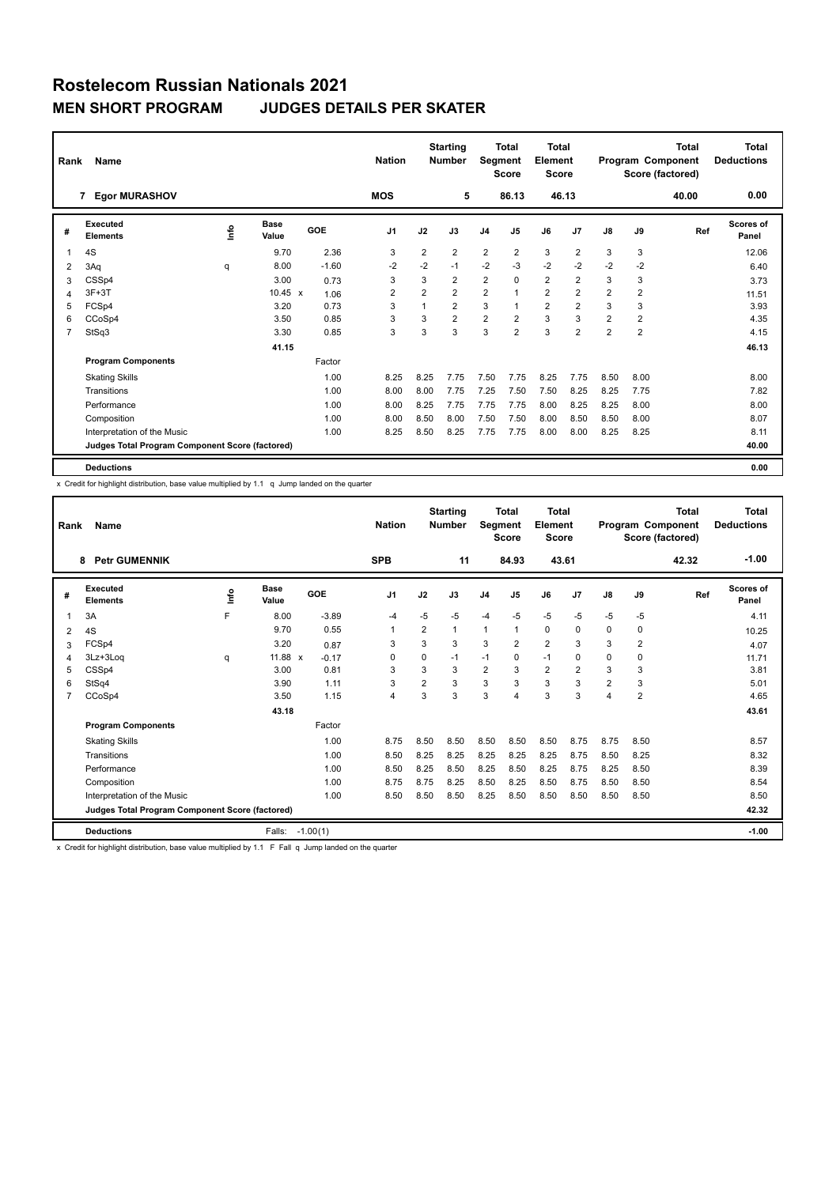| Rank | Name                                            | <b>Nation</b> |                      | <b>Starting</b><br><b>Number</b> | Segment        | Total<br><b>Score</b> | <b>Total</b><br>Element<br>Score |                |                |                | <b>Total</b><br>Program Component<br>Score (factored) | <b>Total</b><br><b>Deductions</b> |                |       |                    |
|------|-------------------------------------------------|---------------|----------------------|----------------------------------|----------------|-----------------------|----------------------------------|----------------|----------------|----------------|-------------------------------------------------------|-----------------------------------|----------------|-------|--------------------|
|      | <b>Egor MURASHOV</b><br>7                       |               |                      |                                  | <b>MOS</b>     |                       | 5                                |                | 86.13          |                | 46.13                                                 |                                   |                | 40.00 | 0.00               |
| #    | Executed<br><b>Elements</b>                     | <u>info</u>   | <b>Base</b><br>Value | GOE                              | J <sub>1</sub> | J2                    | J3                               | J <sub>4</sub> | J5             | J6             | J7                                                    | J8                                | J9             | Ref   | Scores of<br>Panel |
| 1    | 4S                                              |               | 9.70                 | 2.36                             | 3              | $\overline{2}$        | $\overline{2}$                   | $\overline{2}$ | $\overline{2}$ | 3              | $\overline{2}$                                        | 3                                 | 3              |       | 12.06              |
| 2    | 3Aq                                             | q             | 8.00                 | $-1.60$                          | $-2$           | $-2$                  | $-1$                             | $-2$           | $-3$           | $-2$           | $-2$                                                  | $-2$                              | $-2$           |       | 6.40               |
| 3    | CSSp4                                           |               | 3.00                 | 0.73                             | 3              | 3                     | $\overline{2}$                   | $\overline{2}$ | $\mathbf 0$    | $\overline{2}$ | $\overline{2}$                                        | 3                                 | 3              |       | 3.73               |
| 4    | $3F+3T$                                         |               | $10.45 \times$       | 1.06                             | $\overline{2}$ | $\overline{2}$        | $\overline{2}$                   | $\overline{2}$ |                | $\overline{2}$ | $\overline{2}$                                        | $\overline{2}$                    | $\overline{2}$ |       | 11.51              |
| 5    | FCSp4                                           |               | 3.20                 | 0.73                             | 3              | 1                     | $\overline{2}$                   | 3              |                | $\overline{2}$ | $\overline{2}$                                        | 3                                 | 3              |       | 3.93               |
| 6    | CCoSp4                                          |               | 3.50                 | 0.85                             | 3              | 3                     | $\overline{2}$                   | $\overline{2}$ | $\overline{2}$ | 3              | 3                                                     | $\overline{2}$                    | 2              |       | 4.35               |
| 7    | StSq3                                           |               | 3.30                 | 0.85                             | 3              | 3                     | 3                                | 3              | $\overline{2}$ | 3              | $\overline{2}$                                        | $\overline{2}$                    | $\overline{2}$ |       | 4.15               |
|      |                                                 |               | 41.15                |                                  |                |                       |                                  |                |                |                |                                                       |                                   |                |       | 46.13              |
|      | <b>Program Components</b>                       |               |                      | Factor                           |                |                       |                                  |                |                |                |                                                       |                                   |                |       |                    |
|      | <b>Skating Skills</b>                           |               |                      | 1.00                             | 8.25           | 8.25                  | 7.75                             | 7.50           | 7.75           | 8.25           | 7.75                                                  | 8.50                              | 8.00           |       | 8.00               |
|      | Transitions                                     |               |                      | 1.00                             | 8.00           | 8.00                  | 7.75                             | 7.25           | 7.50           | 7.50           | 8.25                                                  | 8.25                              | 7.75           |       | 7.82               |
|      | Performance                                     |               |                      | 1.00                             | 8.00           | 8.25                  | 7.75                             | 7.75           | 7.75           | 8.00           | 8.25                                                  | 8.25                              | 8.00           |       | 8.00               |
|      | Composition                                     |               |                      | 1.00                             | 8.00           | 8.50                  | 8.00                             | 7.50           | 7.50           | 8.00           | 8.50                                                  | 8.50                              | 8.00           |       | 8.07               |
|      | Interpretation of the Music                     |               |                      | 1.00                             | 8.25           | 8.50                  | 8.25                             | 7.75           | 7.75           | 8.00           | 8.00                                                  | 8.25                              | 8.25           |       | 8.11               |
|      | Judges Total Program Component Score (factored) |               |                      |                                  |                |                       |                                  |                |                |                |                                                       |                                   |                |       | 40.00              |
|      | <b>Deductions</b>                               |               |                      |                                  |                |                       |                                  |                |                |                |                                                       |                                   |                |       | 0.00               |

x Credit for highlight distribution, base value multiplied by 1.1 q Jump landed on the quarter

| Rank           | Name                                            |      |                      |            | <b>Nation</b>  |                | <b>Starting</b><br><b>Number</b> | Segment        | <b>Total</b><br><b>Score</b> | <b>Total</b><br>Element<br><b>Score</b> |                |                |                | Total<br>Program Component<br>Score (factored) | <b>Total</b><br><b>Deductions</b> |
|----------------|-------------------------------------------------|------|----------------------|------------|----------------|----------------|----------------------------------|----------------|------------------------------|-----------------------------------------|----------------|----------------|----------------|------------------------------------------------|-----------------------------------|
|                | <b>Petr GUMENNIK</b><br>8                       |      |                      |            | <b>SPB</b>     |                | 11                               |                | 84.93                        | 43.61                                   |                |                |                | 42.32                                          | $-1.00$                           |
| #              | Executed<br><b>Elements</b>                     | ١nf٥ | <b>Base</b><br>Value | GOE        | J <sub>1</sub> | J2             | J3                               | J <sub>4</sub> | J <sub>5</sub>               | J6                                      | J7             | $\mathsf{J}8$  | J9             | Ref                                            | Scores of<br>Panel                |
|                | 3A                                              | F    | 8.00                 | $-3.89$    | $-4$           | $-5$           | $-5$                             | $-4$           | $-5$                         | $-5$                                    | $-5$           | $-5$           | $-5$           |                                                | 4.11                              |
| $\overline{2}$ | 4S                                              |      | 9.70                 | 0.55       | 1              | 2              | 1                                | $\mathbf{1}$   | $\overline{1}$               | 0                                       | $\mathbf 0$    | $\Omega$       | 0              |                                                | 10.25                             |
| 3              | FCSp4                                           |      | 3.20                 | 0.87       | 3              | 3              | 3                                | 3              | $\overline{2}$               | $\overline{2}$                          | 3              | 3              | $\overline{2}$ |                                                | 4.07                              |
| 4              | 3Lz+3Log                                        | q    | 11.88 x              | $-0.17$    | 0              | $\Omega$       | $-1$                             | $-1$           | $\Omega$                     | $-1$                                    | $\mathbf 0$    | $\Omega$       | 0              |                                                | 11.71                             |
| 5              | CSSp4                                           |      | 3.00                 | 0.81       | 3              | 3              | 3                                | $\overline{2}$ | 3                            | $\overline{2}$                          | $\overline{2}$ | 3              | 3              |                                                | 3.81                              |
| 6              | StSq4                                           |      | 3.90                 | 1.11       | 3              | $\overline{2}$ | 3                                | 3              | 3                            | 3                                       | 3              | $\overline{2}$ | 3              |                                                | 5.01                              |
| $\overline{7}$ | CCoSp4                                          |      | 3.50                 | 1.15       | $\overline{4}$ | 3              | 3                                | 3              | $\overline{4}$               | 3                                       | 3              | 4              | $\overline{2}$ |                                                | 4.65                              |
|                |                                                 |      | 43.18                |            |                |                |                                  |                |                              |                                         |                |                |                |                                                | 43.61                             |
|                | <b>Program Components</b>                       |      |                      | Factor     |                |                |                                  |                |                              |                                         |                |                |                |                                                |                                   |
|                | <b>Skating Skills</b>                           |      |                      | 1.00       | 8.75           | 8.50           | 8.50                             | 8.50           | 8.50                         | 8.50                                    | 8.75           | 8.75           | 8.50           |                                                | 8.57                              |
|                | Transitions                                     |      |                      | 1.00       | 8.50           | 8.25           | 8.25                             | 8.25           | 8.25                         | 8.25                                    | 8.75           | 8.50           | 8.25           |                                                | 8.32                              |
|                | Performance                                     |      |                      | 1.00       | 8.50           | 8.25           | 8.50                             | 8.25           | 8.50                         | 8.25                                    | 8.75           | 8.25           | 8.50           |                                                | 8.39                              |
|                | Composition                                     |      |                      | 1.00       | 8.75           | 8.75           | 8.25                             | 8.50           | 8.25                         | 8.50                                    | 8.75           | 8.50           | 8.50           |                                                | 8.54                              |
|                | Interpretation of the Music                     |      |                      | 1.00       | 8.50           | 8.50           | 8.50                             | 8.25           | 8.50                         | 8.50                                    | 8.50           | 8.50           | 8.50           |                                                | 8.50                              |
|                | Judges Total Program Component Score (factored) |      |                      |            |                |                |                                  |                |                              |                                         |                |                |                |                                                | 42.32                             |
|                | <b>Deductions</b>                               |      | Falls:               | $-1.00(1)$ |                |                |                                  |                |                              |                                         |                |                |                |                                                | $-1.00$                           |

x Credit for highlight distribution, base value multiplied by 1.1 F Fall q Jump landed on the quarter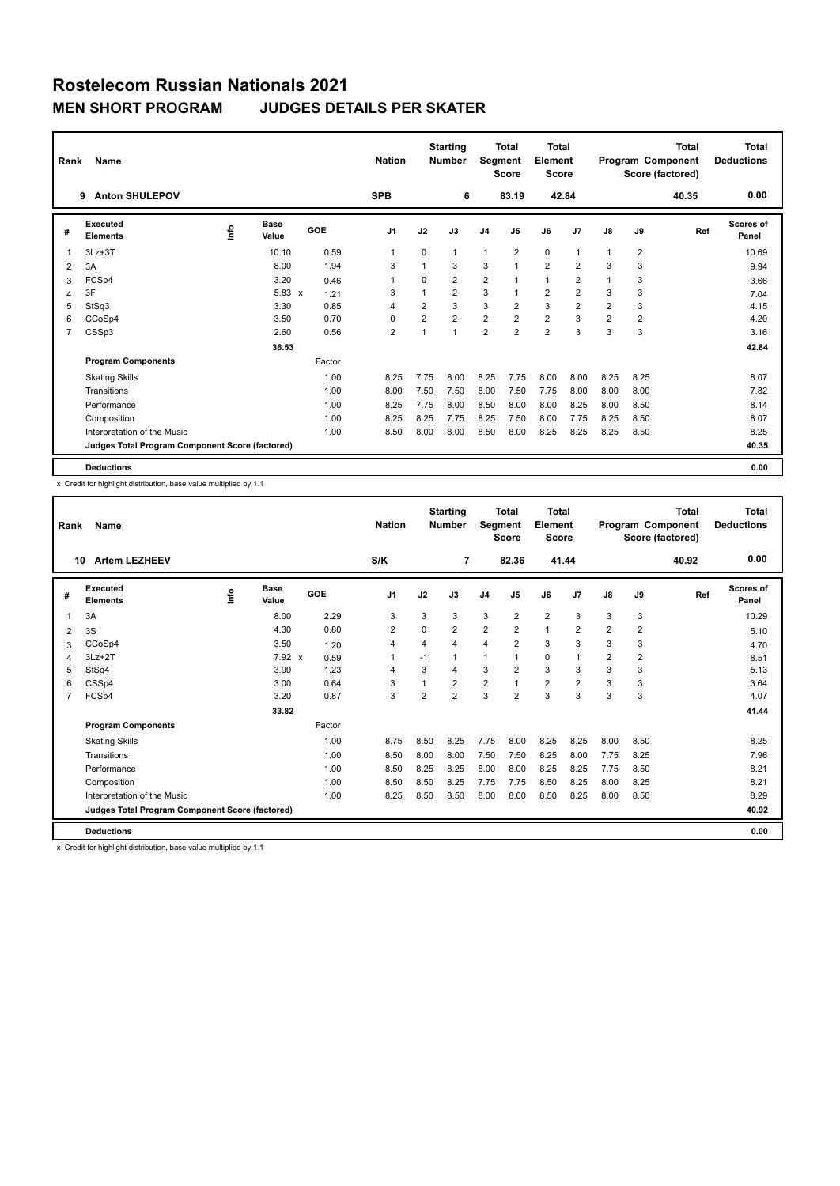| Rank           | Name<br><b>Anton SHULEPOV</b><br>9              |    |               |        |                |                | <b>Starting</b><br><b>Number</b> | Segment        | <b>Total</b><br><b>Score</b> | <b>Total</b><br>Element<br>Score |                |                |                | <b>Total</b><br>Program Component<br>Score (factored) | <b>Total</b><br><b>Deductions</b> |
|----------------|-------------------------------------------------|----|---------------|--------|----------------|----------------|----------------------------------|----------------|------------------------------|----------------------------------|----------------|----------------|----------------|-------------------------------------------------------|-----------------------------------|
|                |                                                 |    |               |        | <b>SPB</b>     |                | 6                                |                | 83.19                        |                                  | 42.84          |                |                | 40.35                                                 | 0.00                              |
| #              | Executed<br><b>Elements</b>                     | ۴٥ | Base<br>Value | GOE    | J <sub>1</sub> | J2             | J3                               | J <sub>4</sub> | J <sub>5</sub>               | J6                               | J <sub>7</sub> | $\mathsf{J}8$  | J9             | Ref                                                   | Scores of<br>Panel                |
| 1              | $3Lz + 3T$                                      |    | 10.10         | 0.59   | 1              | $\Omega$       | $\mathbf{1}$                     | $\mathbf{1}$   | $\overline{2}$               | $\mathbf 0$                      | $\overline{1}$ | 1              | $\overline{2}$ |                                                       | 10.69                             |
| 2              | 3A                                              |    | 8.00          | 1.94   | 3              |                | 3                                | 3              | $\mathbf{1}$                 | $\overline{2}$                   | $\overline{2}$ | 3              | 3              |                                                       | 9.94                              |
| 3              | FCSp4                                           |    | 3.20          | 0.46   | -1             | $\Omega$       | $\overline{2}$                   | $\overline{2}$ | $\mathbf{1}$                 | $\mathbf{1}$                     | $\overline{2}$ | 1              | 3              |                                                       | 3.66                              |
| 4              | 3F                                              |    | $5.83 \times$ | 1.21   | 3              |                | $\overline{2}$                   | 3              | $\mathbf{1}$                 | $\overline{2}$                   | $\overline{2}$ | 3              | 3              |                                                       | 7.04                              |
| 5              | StSq3                                           |    | 3.30          | 0.85   | 4              | $\overline{2}$ | 3                                | 3              | $\overline{2}$               | 3                                | $\overline{2}$ | 2              | 3              |                                                       | 4.15                              |
| 6              | CCoSp4                                          |    | 3.50          | 0.70   | $\Omega$       | $\overline{2}$ | $\overline{2}$                   | $\overline{2}$ | $\overline{2}$               | $\overline{2}$                   | 3              | $\overline{2}$ | $\overline{2}$ |                                                       | 4.20                              |
| $\overline{7}$ | CSSp3                                           |    | 2.60          | 0.56   | $\overline{2}$ | 1              | $\mathbf{1}$                     | $\overline{2}$ | $\overline{2}$               | $\overline{2}$                   | 3              | 3              | 3              |                                                       | 3.16                              |
|                |                                                 |    | 36.53         |        |                |                |                                  |                |                              |                                  |                |                |                |                                                       | 42.84                             |
|                | <b>Program Components</b>                       |    |               | Factor |                |                |                                  |                |                              |                                  |                |                |                |                                                       |                                   |
|                | <b>Skating Skills</b>                           |    |               | 1.00   | 8.25           | 7.75           | 8.00                             | 8.25           | 7.75                         | 8.00                             | 8.00           | 8.25           | 8.25           |                                                       | 8.07                              |
|                | Transitions                                     |    |               | 1.00   | 8.00           | 7.50           | 7.50                             | 8.00           | 7.50                         | 7.75                             | 8.00           | 8.00           | 8.00           |                                                       | 7.82                              |
|                | Performance                                     |    |               | 1.00   | 8.25           | 7.75           | 8.00                             | 8.50           | 8.00                         | 8.00                             | 8.25           | 8.00           | 8.50           |                                                       | 8.14                              |
|                | Composition                                     |    |               | 1.00   | 8.25           | 8.25           | 7.75                             | 8.25           | 7.50                         | 8.00                             | 7.75           | 8.25           | 8.50           |                                                       | 8.07                              |
|                | Interpretation of the Music                     |    |               | 1.00   | 8.50           | 8.00           | 8.00                             | 8.50           | 8.00                         | 8.25                             | 8.25           | 8.25           | 8.50           |                                                       | 8.25                              |
|                | Judges Total Program Component Score (factored) |    |               |        |                |                |                                  |                |                              |                                  |                |                |                |                                                       | 40.35                             |
|                | <b>Deductions</b>                               |    |               |        |                |                |                                  |                |                              |                                  |                |                |                |                                                       | 0.00                              |

x Credit for highlight distribution, base value multiplied by 1.1

| Rank           | <b>Name</b>                                     |      |                      |        | <b>Nation</b>  |                | <b>Starting</b><br><b>Number</b> | Segment        | Total<br><b>Score</b> | <b>Total</b><br>Element<br><b>Score</b> |                |      |                | Total<br>Program Component<br>Score (factored) | <b>Total</b><br><b>Deductions</b> |
|----------------|-------------------------------------------------|------|----------------------|--------|----------------|----------------|----------------------------------|----------------|-----------------------|-----------------------------------------|----------------|------|----------------|------------------------------------------------|-----------------------------------|
|                | <b>Artem LEZHEEV</b><br>10                      |      |                      |        | S/K            |                | 7                                |                | 82.36                 | 41.44                                   |                |      |                | 40.92                                          | 0.00                              |
| #              | Executed<br><b>Elements</b>                     | lnfo | <b>Base</b><br>Value | GOE    | J <sub>1</sub> | J2             | J3                               | J <sub>4</sub> | J <sub>5</sub>        | J6                                      | J7             | J8   | J9             | Ref                                            | <b>Scores of</b><br>Panel         |
|                | 3A                                              |      | 8.00                 | 2.29   | 3              | 3              | 3                                | 3              | $\overline{2}$        | $\overline{2}$                          | 3              | 3    | 3              |                                                | 10.29                             |
| 2              | 3S                                              |      | 4.30                 | 0.80   | 2              | 0              | $\overline{2}$                   | $\overline{2}$ | $\overline{2}$        | $\mathbf{1}$                            | $\overline{2}$ | 2    | $\overline{2}$ |                                                | 5.10                              |
| 3              | CCoSp4                                          |      | 3.50                 | 1.20   | 4              | 4              | 4                                | $\overline{4}$ | $\overline{2}$        | 3                                       | 3              | 3    | 3              |                                                | 4.70                              |
| 4              | $3Lz + 2T$                                      |      | $7.92 \times$        | 0.59   | $\mathbf{1}$   | $-1$           | 1                                | $\overline{1}$ | 1                     | $\mathbf 0$                             |                | 2    | $\overline{2}$ |                                                | 8.51                              |
| 5              | StSq4                                           |      | 3.90                 | 1.23   | 4              | 3              | 4                                | 3              | 2                     | 3                                       | 3              | 3    | 3              |                                                | 5.13                              |
| 6              | CSSp4                                           |      | 3.00                 | 0.64   | 3              |                | $\overline{2}$                   | $\overline{2}$ |                       | $\overline{2}$                          | $\overline{2}$ | 3    | 3              |                                                | 3.64                              |
| $\overline{7}$ | FCSp4                                           |      | 3.20                 | 0.87   | 3              | $\overline{2}$ | $\overline{2}$                   | 3              | $\overline{2}$        | 3                                       | 3              | 3    | 3              |                                                | 4.07                              |
|                |                                                 |      | 33.82                |        |                |                |                                  |                |                       |                                         |                |      |                |                                                | 41.44                             |
|                | <b>Program Components</b>                       |      |                      | Factor |                |                |                                  |                |                       |                                         |                |      |                |                                                |                                   |
|                | <b>Skating Skills</b>                           |      |                      | 1.00   | 8.75           | 8.50           | 8.25                             | 7.75           | 8.00                  | 8.25                                    | 8.25           | 8.00 | 8.50           |                                                | 8.25                              |
|                | Transitions                                     |      |                      | 1.00   | 8.50           | 8.00           | 8.00                             | 7.50           | 7.50                  | 8.25                                    | 8.00           | 7.75 | 8.25           |                                                | 7.96                              |
|                | Performance                                     |      |                      | 1.00   | 8.50           | 8.25           | 8.25                             | 8.00           | 8.00                  | 8.25                                    | 8.25           | 7.75 | 8.50           |                                                | 8.21                              |
|                | Composition                                     |      |                      | 1.00   | 8.50           | 8.50           | 8.25                             | 7.75           | 7.75                  | 8.50                                    | 8.25           | 8.00 | 8.25           |                                                | 8.21                              |
|                | Interpretation of the Music                     |      |                      | 1.00   | 8.25           | 8.50           | 8.50                             | 8.00           | 8.00                  | 8.50                                    | 8.25           | 8.00 | 8.50           |                                                | 8.29                              |
|                | Judges Total Program Component Score (factored) |      |                      |        |                |                |                                  |                |                       |                                         |                |      |                |                                                | 40.92                             |
|                | <b>Deductions</b>                               |      |                      |        |                |                |                                  |                |                       |                                         |                |      |                |                                                | 0.00                              |

x Credit for highlight distribution, base value multiplied by 1.1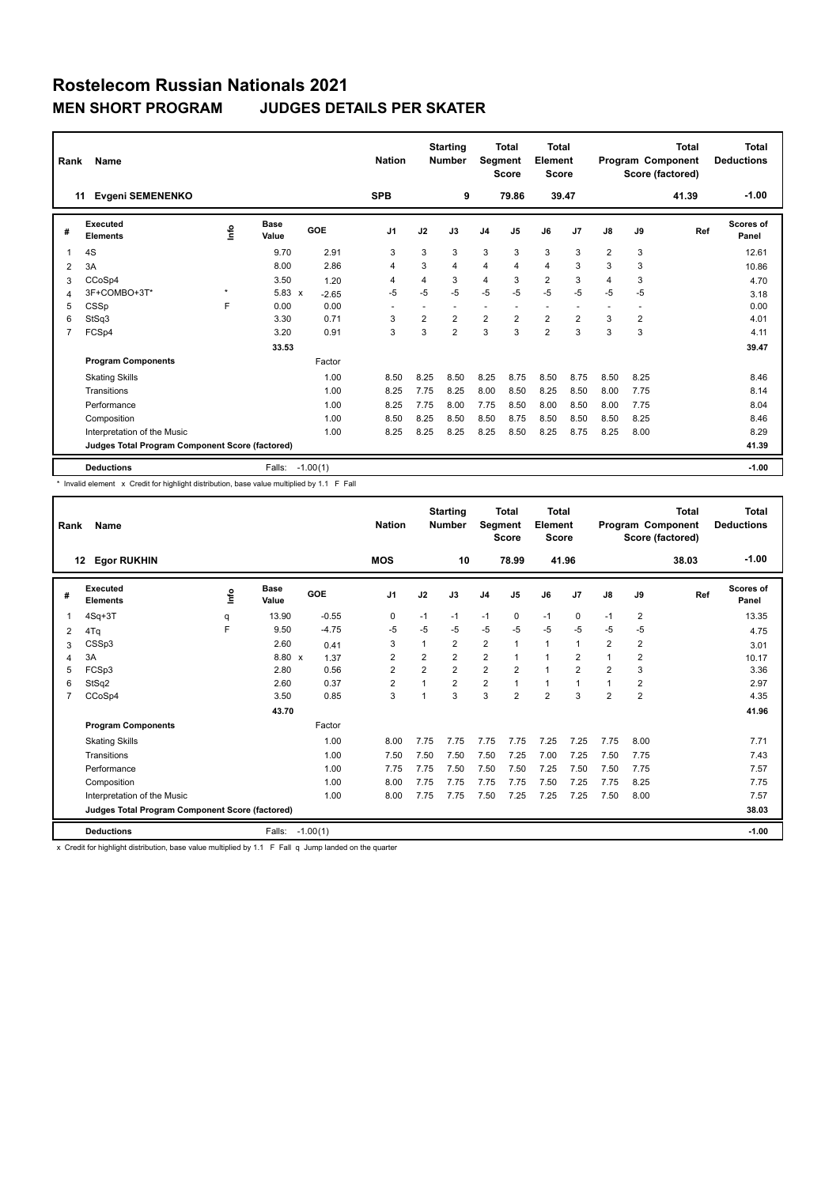| Rank | Name                                            |             |                      | <b>Nation</b> |                | <b>Starting</b><br><b>Number</b> | Segment        | Total<br><b>Score</b> | Total<br>Element<br><b>Score</b> |                |                |                | <b>Total</b><br>Program Component<br>Score (factored) | Total<br><b>Deductions</b> |                    |
|------|-------------------------------------------------|-------------|----------------------|---------------|----------------|----------------------------------|----------------|-----------------------|----------------------------------|----------------|----------------|----------------|-------------------------------------------------------|----------------------------|--------------------|
|      | Evgeni SEMENENKO<br>11                          |             |                      |               | <b>SPB</b>     |                                  | 9              |                       | 79.86                            | 39.47          |                |                |                                                       | 41.39                      | $-1.00$            |
| #    | Executed<br><b>Elements</b>                     | <u>info</u> | <b>Base</b><br>Value | GOE           | J <sub>1</sub> | J2                               | J3             | J <sub>4</sub>        | J <sub>5</sub>                   | J6             | J7             | J8             | J9                                                    | Ref                        | Scores of<br>Panel |
|      | 4S                                              |             | 9.70                 | 2.91          | 3              | 3                                | 3              | 3                     | 3                                | 3              | 3              | $\overline{2}$ | 3                                                     |                            | 12.61              |
| 2    | 3A                                              |             | 8.00                 | 2.86          | 4              | 3                                | 4              | 4                     | $\overline{4}$                   | 4              | 3              | 3              | 3                                                     |                            | 10.86              |
| 3    | CCoSp4                                          |             | 3.50                 | 1.20          | 4              | 4                                | 3              | 4                     | 3                                | $\overline{2}$ | 3              | 4              | 3                                                     |                            | 4.70               |
| 4    | 3F+COMBO+3T*                                    | $\star$     | $5.83 \times$        | $-2.65$       | $-5$           | $-5$                             | $-5$           | $-5$                  | $-5$                             | $-5$           | $-5$           | $-5$           | $-5$                                                  |                            | 3.18               |
| 5    | CSSp                                            | F           | 0.00                 | 0.00          |                |                                  |                |                       | ٠                                |                |                |                |                                                       |                            | 0.00               |
| 6    | StSq3                                           |             | 3.30                 | 0.71          | 3              | $\overline{2}$                   | $\overline{2}$ | $\overline{2}$        | $\overline{2}$                   | $\overline{2}$ | $\overline{2}$ | 3              | 2                                                     |                            | 4.01               |
| 7    | FCSp4                                           |             | 3.20                 | 0.91          | 3              | 3                                | $\overline{2}$ | 3                     | 3                                | $\overline{2}$ | 3              | 3              | 3                                                     |                            | 4.11               |
|      |                                                 |             | 33.53                |               |                |                                  |                |                       |                                  |                |                |                |                                                       |                            | 39.47              |
|      | <b>Program Components</b>                       |             |                      | Factor        |                |                                  |                |                       |                                  |                |                |                |                                                       |                            |                    |
|      | <b>Skating Skills</b>                           |             |                      | 1.00          | 8.50           | 8.25                             | 8.50           | 8.25                  | 8.75                             | 8.50           | 8.75           | 8.50           | 8.25                                                  |                            | 8.46               |
|      | Transitions                                     |             |                      | 1.00          | 8.25           | 7.75                             | 8.25           | 8.00                  | 8.50                             | 8.25           | 8.50           | 8.00           | 7.75                                                  |                            | 8.14               |
|      | Performance                                     |             |                      | 1.00          | 8.25           | 7.75                             | 8.00           | 7.75                  | 8.50                             | 8.00           | 8.50           | 8.00           | 7.75                                                  |                            | 8.04               |
|      | Composition                                     |             |                      | 1.00          | 8.50           | 8.25                             | 8.50           | 8.50                  | 8.75                             | 8.50           | 8.50           | 8.50           | 8.25                                                  |                            | 8.46               |
|      | Interpretation of the Music                     |             |                      | 1.00          | 8.25           | 8.25                             | 8.25           | 8.25                  | 8.50                             | 8.25           | 8.75           | 8.25           | 8.00                                                  |                            | 8.29               |
|      | Judges Total Program Component Score (factored) |             |                      |               |                |                                  |                |                       |                                  |                |                |                |                                                       |                            | 41.39              |
|      | <b>Deductions</b>                               |             | Falls:               | $-1.00(1)$    |                |                                  |                |                       |                                  |                |                |                |                                                       |                            | $-1.00$            |

\* Invalid element x Credit for highlight distribution, base value multiplied by 1.1 F Fall

| Rank           | <b>Name</b>                                     |    |                      |            | <b>Nation</b>  |                | <b>Starting</b><br><b>Number</b> | Segment        | Total<br><b>Score</b> | Total<br>Element<br><b>Score</b> |                |                |                | <b>Total</b><br>Program Component<br>Score (factored) | <b>Total</b><br><b>Deductions</b> |
|----------------|-------------------------------------------------|----|----------------------|------------|----------------|----------------|----------------------------------|----------------|-----------------------|----------------------------------|----------------|----------------|----------------|-------------------------------------------------------|-----------------------------------|
|                | <b>Egor RUKHIN</b><br>12                        |    |                      |            | <b>MOS</b>     |                | 10                               |                | 78.99                 | 41.96                            |                |                |                | 38.03                                                 | $-1.00$                           |
| #              | Executed<br><b>Elements</b>                     | ١m | <b>Base</b><br>Value | GOE        | J <sub>1</sub> | J2             | J3                               | J <sub>4</sub> | J <sub>5</sub>        | J6                               | J <sub>7</sub> | $\mathsf{J}8$  | J9             | Ref                                                   | <b>Scores of</b><br>Panel         |
| 1              | $4Sq+3T$                                        | q  | 13.90                | $-0.55$    | 0              | $-1$           | $-1$                             | $-1$           | 0                     | $-1$                             | 0              | $-1$           | 2              |                                                       | 13.35                             |
| 2              | 4Tq                                             | E  | 9.50                 | $-4.75$    | $-5$           | $-5$           | $-5$                             | $-5$           | $-5$                  | $-5$                             | $-5$           | $-5$           | $-5$           |                                                       | 4.75                              |
| 3              | CSSp3                                           |    | 2.60                 | 0.41       | 3              | 1              | $\overline{2}$                   | $\overline{2}$ | $\mathbf{1}$          | 1                                | $\mathbf 1$    | 2              | $\overline{2}$ |                                                       | 3.01                              |
| $\overline{4}$ | 3A                                              |    | 8.80 x               | 1.37       | $\overline{2}$ | $\overline{2}$ | $\overline{2}$                   | $\overline{2}$ | $\mathbf{1}$          | 1                                | $\overline{2}$ | 1              | $\overline{2}$ |                                                       | 10.17                             |
| 5              | FCSp3                                           |    | 2.80                 | 0.56       | $\overline{2}$ | $\overline{2}$ | $\overline{2}$                   | $\overline{2}$ | $\overline{2}$        | $\overline{1}$                   | $\overline{2}$ | $\overline{2}$ | 3              |                                                       | 3.36                              |
| 6              | StSq2                                           |    | 2.60                 | 0.37       | $\overline{2}$ | $\overline{ }$ | $\overline{2}$                   | $\overline{2}$ | $\mathbf{1}$          | 1                                | $\overline{1}$ | $\mathbf{1}$   | 2              |                                                       | 2.97                              |
| $\overline{7}$ | CCoSp4                                          |    | 3.50                 | 0.85       | 3              | $\overline{ }$ | 3                                | 3              | $\overline{2}$        | $\overline{2}$                   | 3              | $\overline{2}$ | $\overline{2}$ |                                                       | 4.35                              |
|                |                                                 |    | 43.70                |            |                |                |                                  |                |                       |                                  |                |                |                |                                                       | 41.96                             |
|                | <b>Program Components</b>                       |    |                      | Factor     |                |                |                                  |                |                       |                                  |                |                |                |                                                       |                                   |
|                | <b>Skating Skills</b>                           |    |                      | 1.00       | 8.00           | 7.75           | 7.75                             | 7.75           | 7.75                  | 7.25                             | 7.25           | 7.75           | 8.00           |                                                       | 7.71                              |
|                | Transitions                                     |    |                      | 1.00       | 7.50           | 7.50           | 7.50                             | 7.50           | 7.25                  | 7.00                             | 7.25           | 7.50           | 7.75           |                                                       | 7.43                              |
|                | Performance                                     |    |                      | 1.00       | 7.75           | 7.75           | 7.50                             | 7.50           | 7.50                  | 7.25                             | 7.50           | 7.50           | 7.75           |                                                       | 7.57                              |
|                | Composition                                     |    |                      | 1.00       | 8.00           | 7.75           | 7.75                             | 7.75           | 7.75                  | 7.50                             | 7.25           | 7.75           | 8.25           |                                                       | 7.75                              |
|                | Interpretation of the Music                     |    |                      | 1.00       | 8.00           | 7.75           | 7.75                             | 7.50           | 7.25                  | 7.25                             | 7.25           | 7.50           | 8.00           |                                                       | 7.57                              |
|                | Judges Total Program Component Score (factored) |    |                      |            |                |                |                                  |                |                       |                                  |                |                |                |                                                       | 38.03                             |
|                | <b>Deductions</b>                               |    | Falls:               | $-1.00(1)$ |                |                |                                  |                |                       |                                  |                |                |                |                                                       | $-1.00$                           |

x Credit for highlight distribution, base value multiplied by 1.1 F Fall q Jump landed on the quarter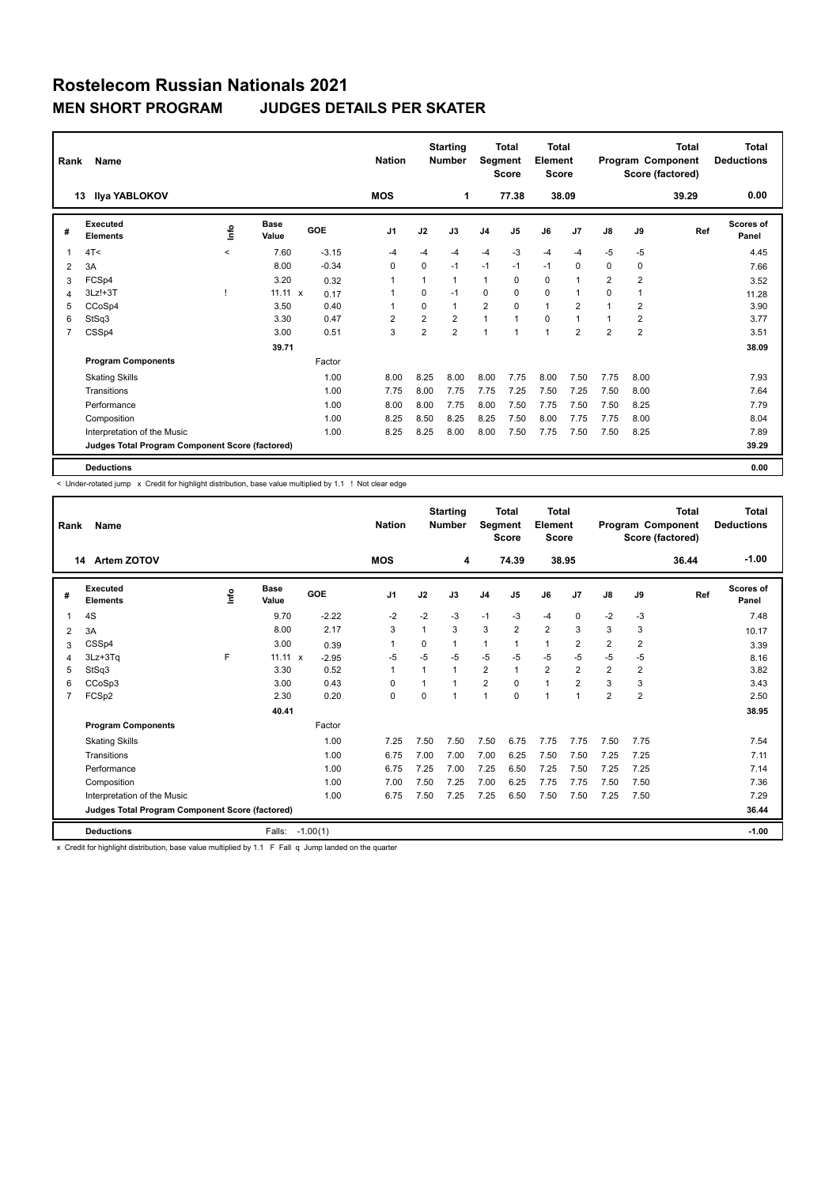|   | Rank<br>Name                                    |             |                      |         | <b>Starting</b><br><b>Nation</b><br><b>Number</b> |                | Total<br>Segment<br><b>Score</b> |                | <b>Total</b><br>Element<br><b>Score</b> |              | Program Component |                | <b>Total</b><br>Score (factored) | <b>Total</b><br><b>Deductions</b> |                    |
|---|-------------------------------------------------|-------------|----------------------|---------|---------------------------------------------------|----------------|----------------------------------|----------------|-----------------------------------------|--------------|-------------------|----------------|----------------------------------|-----------------------------------|--------------------|
|   | <b>Ilya YABLOKOV</b><br>13                      |             |                      |         | <b>MOS</b>                                        |                | 1                                |                | 77.38                                   |              | 38.09             |                |                                  | 39.29                             | 0.00               |
| # | Executed<br><b>Elements</b>                     | <u>info</u> | <b>Base</b><br>Value | GOE     | J <sub>1</sub>                                    | J2             | J3                               | J <sub>4</sub> | J5                                      | J6           | J <sub>7</sub>    | J8             | J9                               | Ref                               | Scores of<br>Panel |
| 1 | 4T<                                             | $\prec$     | 7.60                 | $-3.15$ | $-4$                                              | $-4$           | -4                               | $-4$           | $-3$                                    | $-4$         | $-4$              | $-5$           | $-5$                             |                                   | 4.45               |
| 2 | 3A                                              |             | 8.00                 | $-0.34$ | 0                                                 | 0              | $-1$                             | $-1$           | $-1$                                    | $-1$         | 0                 | 0              | $\mathbf 0$                      |                                   | 7.66               |
| 3 | FCSp4                                           |             | 3.20                 | 0.32    | 1                                                 | $\mathbf{1}$   | $\mathbf{1}$                     | 1              | 0                                       | 0            | -1                | $\overline{2}$ | $\overline{2}$                   |                                   | 3.52               |
| 4 | $3Lz! + 3T$                                     |             | $11.11 \times$       | 0.17    | 1                                                 | 0              | $-1$                             | 0              | 0                                       | $\mathbf 0$  | 1                 | 0              | 1                                |                                   | 11.28              |
| 5 | CCoSp4                                          |             | 3.50                 | 0.40    | 1                                                 | 0              | $\mathbf{1}$                     | $\overline{2}$ | $\Omega$                                | $\mathbf{1}$ | $\overline{2}$    |                | 2                                |                                   | 3.90               |
| 6 | StSq3                                           |             | 3.30                 | 0.47    | $\overline{2}$                                    | $\overline{2}$ | $\overline{2}$                   | $\mathbf{1}$   |                                         | $\mathbf 0$  | 1                 |                | 2                                |                                   | 3.77               |
| 7 | CSSp4                                           |             | 3.00                 | 0.51    | 3                                                 | $\overline{2}$ | $\overline{2}$                   | 1              |                                         | $\mathbf{1}$ | $\overline{2}$    | $\overline{2}$ | $\overline{2}$                   |                                   | 3.51               |
|   |                                                 |             | 39.71                |         |                                                   |                |                                  |                |                                         |              |                   |                |                                  |                                   | 38.09              |
|   | <b>Program Components</b>                       |             |                      | Factor  |                                                   |                |                                  |                |                                         |              |                   |                |                                  |                                   |                    |
|   | <b>Skating Skills</b>                           |             |                      | 1.00    | 8.00                                              | 8.25           | 8.00                             | 8.00           | 7.75                                    | 8.00         | 7.50              | 7.75           | 8.00                             |                                   | 7.93               |
|   | Transitions                                     |             |                      | 1.00    | 7.75                                              | 8.00           | 7.75                             | 7.75           | 7.25                                    | 7.50         | 7.25              | 7.50           | 8.00                             |                                   | 7.64               |
|   | Performance                                     |             |                      | 1.00    | 8.00                                              | 8.00           | 7.75                             | 8.00           | 7.50                                    | 7.75         | 7.50              | 7.50           | 8.25                             |                                   | 7.79               |
|   | Composition                                     |             |                      | 1.00    | 8.25                                              | 8.50           | 8.25                             | 8.25           | 7.50                                    | 8.00         | 7.75              | 7.75           | 8.00                             |                                   | 8.04               |
|   | Interpretation of the Music                     |             |                      | 1.00    | 8.25                                              | 8.25           | 8.00                             | 8.00           | 7.50                                    | 7.75         | 7.50              | 7.50           | 8.25                             |                                   | 7.89               |
|   | Judges Total Program Component Score (factored) |             |                      |         |                                                   |                |                                  |                |                                         |              |                   |                |                                  |                                   | 39.29              |
|   | <b>Deductions</b>                               |             |                      |         |                                                   |                |                                  |                |                                         |              |                   |                |                                  |                                   | 0.00               |

< Under-rotated jump x Credit for highlight distribution, base value multiplied by 1.1 ! Not clear edge

| Rank | Name                                            |      |               |                         | <b>Nation</b>  |              | <b>Starting</b><br><b>Number</b> | Segment        | <b>Total</b><br><b>Score</b> | <b>Total</b><br>Element<br><b>Score</b> |                |                |                | <b>Total</b><br>Program Component<br>Score (factored) | <b>Total</b><br><b>Deductions</b><br>$-1.00$ |
|------|-------------------------------------------------|------|---------------|-------------------------|----------------|--------------|----------------------------------|----------------|------------------------------|-----------------------------------------|----------------|----------------|----------------|-------------------------------------------------------|----------------------------------------------|
|      | Artem ZOTOV<br>14                               |      |               |                         | <b>MOS</b>     |              | 4                                |                | 74.39                        |                                         | 38.95          |                |                | 36.44                                                 |                                              |
| #    | Executed<br><b>Elements</b>                     | lnfo | Base<br>Value | GOE                     | J <sub>1</sub> | J2           | J3                               | J <sub>4</sub> | J <sub>5</sub>               | J6                                      | J <sub>7</sub> | J8             | J9             | Ref                                                   | Scores of<br>Panel                           |
| 1    | 4S                                              |      | 9.70          | $-2.22$                 | $-2$           | $-2$         | $-3$                             | $-1$           | $-3$                         | $-4$                                    | $\mathbf 0$    | $-2$           | $-3$           |                                                       | 7.48                                         |
| 2    | 3A                                              |      | 8.00          | 2.17                    | 3              | $\mathbf{1}$ | 3                                | 3              | $\overline{2}$               | $\overline{2}$                          | 3              | 3              | 3              |                                                       | 10.17                                        |
| 3    | CSSp4                                           |      | 3.00          | 0.39                    | $\mathbf 1$    | 0            | 1                                | $\mathbf{1}$   | 1                            | $\mathbf{1}$                            | $\overline{2}$ | $\overline{2}$ | $\overline{2}$ |                                                       | 3.39                                         |
| 4    | 3Lz+3Tq                                         | F    | 11.11         | $\mathsf{x}$<br>$-2.95$ | $-5$           | $-5$         | $-5$                             | $-5$           | $-5$                         | $-5$                                    | $-5$           | $-5$           | $-5$           |                                                       | 8.16                                         |
| 5    | StSq3                                           |      | 3.30          | 0.52                    | $\overline{1}$ | 1            | 1                                | $\overline{2}$ | $\mathbf{1}$                 | $\overline{2}$                          | $\overline{2}$ | $\overline{2}$ | $\overline{2}$ |                                                       | 3.82                                         |
| 6    | CCoSp3                                          |      | 3.00          | 0.43                    | 0              |              |                                  | $\overline{2}$ | $\Omega$                     | $\overline{1}$                          | $\overline{2}$ | 3              | 3              |                                                       | 3.43                                         |
| 7    | FCSp2                                           |      | 2.30          | 0.20                    | 0              | $\Omega$     |                                  | $\overline{1}$ | $\Omega$                     | $\mathbf{1}$                            | $\overline{1}$ | 2              | $\overline{2}$ |                                                       | 2.50                                         |
|      |                                                 |      | 40.41         |                         |                |              |                                  |                |                              |                                         |                |                |                |                                                       | 38.95                                        |
|      | <b>Program Components</b>                       |      |               | Factor                  |                |              |                                  |                |                              |                                         |                |                |                |                                                       |                                              |
|      | <b>Skating Skills</b>                           |      |               | 1.00                    | 7.25           | 7.50         | 7.50                             | 7.50           | 6.75                         | 7.75                                    | 7.75           | 7.50           | 7.75           |                                                       | 7.54                                         |
|      | Transitions                                     |      |               | 1.00                    | 6.75           | 7.00         | 7.00                             | 7.00           | 6.25                         | 7.50                                    | 7.50           | 7.25           | 7.25           |                                                       | 7.11                                         |
|      | Performance                                     |      |               | 1.00                    | 6.75           | 7.25         | 7.00                             | 7.25           | 6.50                         | 7.25                                    | 7.50           | 7.25           | 7.25           |                                                       | 7.14                                         |
|      | Composition                                     |      |               | 1.00                    | 7.00           | 7.50         | 7.25                             | 7.00           | 6.25                         | 7.75                                    | 7.75           | 7.50           | 7.50           |                                                       | 7.36                                         |
|      | Interpretation of the Music                     |      |               | 1.00                    | 6.75           | 7.50         | 7.25                             | 7.25           | 6.50                         | 7.50                                    | 7.50           | 7.25           | 7.50           |                                                       | 7.29                                         |
|      | Judges Total Program Component Score (factored) |      |               |                         |                |              |                                  |                |                              |                                         |                |                |                |                                                       | 36.44                                        |
|      | <b>Deductions</b>                               |      | Falls:        | $-1.00(1)$              |                |              |                                  |                |                              |                                         |                |                |                |                                                       | $-1.00$                                      |

x Credit for highlight distribution, base value multiplied by 1.1 F Fall q Jump landed on the quarter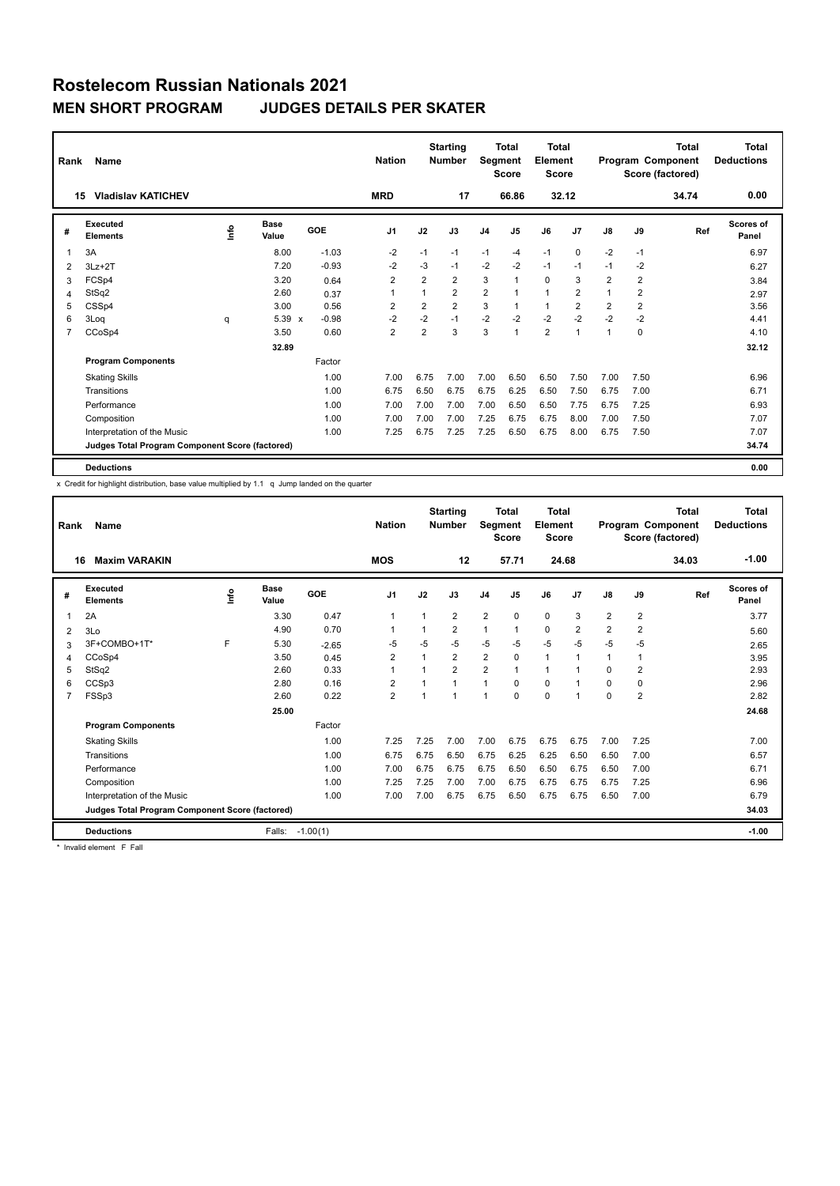| Rank           | Name                                            |      |               |         | <b>Starting</b><br><b>Nation</b><br><b>Number</b> |                | <b>Total</b><br>Segment<br><b>Score</b> |                | <b>Total</b><br>Element<br><b>Score</b> |                | <b>Total</b><br>Program Component<br>Score (factored) |                |                | <b>Total</b><br><b>Deductions</b> |                    |
|----------------|-------------------------------------------------|------|---------------|---------|---------------------------------------------------|----------------|-----------------------------------------|----------------|-----------------------------------------|----------------|-------------------------------------------------------|----------------|----------------|-----------------------------------|--------------------|
|                | <b>Vladislav KATICHEV</b><br>15                 |      |               |         | <b>MRD</b>                                        |                | 17                                      |                | 66.86                                   | 32.12          |                                                       |                |                | 34.74                             | 0.00               |
| #              | Executed<br><b>Elements</b>                     | Info | Base<br>Value | GOE     | J <sub>1</sub>                                    | J2             | J3                                      | J <sub>4</sub> | J5                                      | J6             | J <sub>7</sub>                                        | $\mathsf{J}8$  | J9             | Ref                               | Scores of<br>Panel |
| 1              | 3A                                              |      | 8.00          | $-1.03$ | $-2$                                              | $-1$           | $-1$                                    | $-1$           | $-4$                                    | $-1$           | $\Omega$                                              | $-2$           | $-1$           |                                   | 6.97               |
| 2              | $3Lz + 2T$                                      |      | 7.20          | $-0.93$ | $-2$                                              | $-3$           | $-1$                                    | $-2$           | $-2$                                    | $-1$           | $-1$                                                  | $-1$           | $-2$           |                                   | 6.27               |
| 3              | FCSp4                                           |      | 3.20          | 0.64    | $\overline{2}$                                    | 2              | $\overline{2}$                          | 3              | $\mathbf{1}$                            | $\mathbf 0$    | 3                                                     | $\overline{2}$ | $\overline{2}$ |                                   | 3.84               |
| 4              | StSq2                                           |      | 2.60          | 0.37    | 1                                                 |                | $\overline{2}$                          | $\overline{2}$ | $\overline{1}$                          | $\mathbf{1}$   | $\overline{2}$                                        | 1              | $\overline{2}$ |                                   | 2.97               |
| 5              | CSSp4                                           |      | 3.00          | 0.56    | 2                                                 | 2              | $\overline{2}$                          | 3              | 1                                       | $\mathbf{1}$   | $\overline{2}$                                        | 2              | $\overline{2}$ |                                   | 3.56               |
| 6              | 3Loq                                            | q    | 5.39 x        | $-0.98$ | $-2$                                              | $-2$           | $-1$                                    | $-2$           | $-2$                                    | $-2$           | $-2$                                                  | $-2$           | $-2$           |                                   | 4.41               |
| $\overline{7}$ | CCoSp4                                          |      | 3.50          | 0.60    | $\overline{2}$                                    | $\overline{2}$ | 3                                       | 3              | 1                                       | $\overline{2}$ | $\overline{1}$                                        | 1              | 0              |                                   | 4.10               |
|                |                                                 |      | 32.89         |         |                                                   |                |                                         |                |                                         |                |                                                       |                |                |                                   | 32.12              |
|                | <b>Program Components</b>                       |      |               | Factor  |                                                   |                |                                         |                |                                         |                |                                                       |                |                |                                   |                    |
|                | <b>Skating Skills</b>                           |      |               | 1.00    | 7.00                                              | 6.75           | 7.00                                    | 7.00           | 6.50                                    | 6.50           | 7.50                                                  | 7.00           | 7.50           |                                   | 6.96               |
|                | Transitions                                     |      |               | 1.00    | 6.75                                              | 6.50           | 6.75                                    | 6.75           | 6.25                                    | 6.50           | 7.50                                                  | 6.75           | 7.00           |                                   | 6.71               |
|                | Performance                                     |      |               | 1.00    | 7.00                                              | 7.00           | 7.00                                    | 7.00           | 6.50                                    | 6.50           | 7.75                                                  | 6.75           | 7.25           |                                   | 6.93               |
|                | Composition                                     |      |               | 1.00    | 7.00                                              | 7.00           | 7.00                                    | 7.25           | 6.75                                    | 6.75           | 8.00                                                  | 7.00           | 7.50           |                                   | 7.07               |
|                | Interpretation of the Music                     |      |               | 1.00    | 7.25                                              | 6.75           | 7.25                                    | 7.25           | 6.50                                    | 6.75           | 8.00                                                  | 6.75           | 7.50           |                                   | 7.07               |
|                | Judges Total Program Component Score (factored) |      |               |         |                                                   |                |                                         |                |                                         |                |                                                       |                |                |                                   | 34.74              |
|                | <b>Deductions</b>                               |      |               |         |                                                   |                |                                         |                |                                         |                |                                                       |                |                |                                   | 0.00               |

x Credit for highlight distribution, base value multiplied by 1.1 q Jump landed on the quarter

| Rank                    | Name                                            |      |                      |            | <b>Nation</b>            |                | <b>Starting</b><br><b>Number</b> | Segment        | Total<br><b>Score</b> | <b>Total</b><br>Element<br><b>Score</b> |                |                |                | Total<br>Program Component<br>Score (factored) | Total<br><b>Deductions</b> |
|-------------------------|-------------------------------------------------|------|----------------------|------------|--------------------------|----------------|----------------------------------|----------------|-----------------------|-----------------------------------------|----------------|----------------|----------------|------------------------------------------------|----------------------------|
|                         | <b>Maxim VARAKIN</b><br>16                      |      |                      |            | <b>MOS</b>               |                | 12                               |                | 57.71                 | 24.68                                   |                |                |                | 34.03                                          | $-1.00$                    |
| #                       | Executed<br><b>Elements</b>                     | lnfo | <b>Base</b><br>Value | GOE        | J <sub>1</sub>           | J2             | J3                               | J <sub>4</sub> | J <sub>5</sub>        | J6                                      | J <sub>7</sub> | $\mathsf{J}8$  | J9             | Ref                                            | <b>Scores of</b><br>Panel  |
| $\overline{\mathbf{1}}$ | 2A                                              |      | 3.30                 | 0.47       | $\mathbf{1}$             | 1              | $\overline{2}$                   | $\overline{2}$ | $\mathbf 0$           | 0                                       | 3              | $\overline{2}$ | $\overline{2}$ |                                                | 3.77                       |
| 2                       | 3 <sub>0</sub>                                  |      | 4.90                 | 0.70       | $\overline{\phantom{a}}$ | 1              | $\overline{2}$                   | $\mathbf{1}$   | $\mathbf{1}$          | 0                                       | $\overline{2}$ | $\overline{2}$ | $\overline{2}$ |                                                | 5.60                       |
| 3                       | 3F+COMBO+1T*                                    | F    | 5.30                 | $-2.65$    | -5                       | $-5$           | $-5$                             | $-5$           | $-5$                  | $-5$                                    | $-5$           | $-5$           | $-5$           |                                                | 2.65                       |
| 4                       | CCoSp4                                          |      | 3.50                 | 0.45       | $\overline{2}$           | 1              | $\overline{2}$                   | $\overline{2}$ | $\mathbf 0$           | $\mathbf{1}$                            | $\overline{1}$ | 1              | 1              |                                                | 3.95                       |
| 5                       | StSq2                                           |      | 2.60                 | 0.33       | $\overline{1}$           | $\overline{ }$ | $\overline{2}$                   | $\overline{2}$ | $\mathbf{1}$          | 1                                       | -1             | $\Omega$       | $\overline{2}$ |                                                | 2.93                       |
| 6                       | CCSp3                                           |      | 2.80                 | 0.16       | 2                        | 1              | 1                                | $\overline{1}$ | $\Omega$              | 0                                       | $\overline{1}$ | $\Omega$       | 0              |                                                | 2.96                       |
| $\overline{7}$          | FSSp3                                           |      | 2.60                 | 0.22       | $\overline{2}$           | 1              | 1                                | $\overline{1}$ | $\Omega$              | $\Omega$                                | $\overline{1}$ | $\Omega$       | $\overline{2}$ |                                                | 2.82                       |
|                         |                                                 |      | 25.00                |            |                          |                |                                  |                |                       |                                         |                |                |                |                                                | 24.68                      |
|                         | <b>Program Components</b>                       |      |                      | Factor     |                          |                |                                  |                |                       |                                         |                |                |                |                                                |                            |
|                         | <b>Skating Skills</b>                           |      |                      | 1.00       | 7.25                     | 7.25           | 7.00                             | 7.00           | 6.75                  | 6.75                                    | 6.75           | 7.00           | 7.25           |                                                | 7.00                       |
|                         | Transitions                                     |      |                      | 1.00       | 6.75                     | 6.75           | 6.50                             | 6.75           | 6.25                  | 6.25                                    | 6.50           | 6.50           | 7.00           |                                                | 6.57                       |
|                         | Performance                                     |      |                      | 1.00       | 7.00                     | 6.75           | 6.75                             | 6.75           | 6.50                  | 6.50                                    | 6.75           | 6.50           | 7.00           |                                                | 6.71                       |
|                         | Composition                                     |      |                      | 1.00       | 7.25                     | 7.25           | 7.00                             | 7.00           | 6.75                  | 6.75                                    | 6.75           | 6.75           | 7.25           |                                                | 6.96                       |
|                         | Interpretation of the Music                     |      |                      | 1.00       | 7.00                     | 7.00           | 6.75                             | 6.75           | 6.50                  | 6.75                                    | 6.75           | 6.50           | 7.00           |                                                | 6.79                       |
|                         | Judges Total Program Component Score (factored) |      |                      |            |                          |                |                                  |                |                       |                                         |                |                |                |                                                | 34.03                      |
|                         | <b>Deductions</b>                               |      | Falls:               | $-1.00(1)$ |                          |                |                                  |                |                       |                                         |                |                |                |                                                | $-1.00$                    |

\* Invalid element F Fall